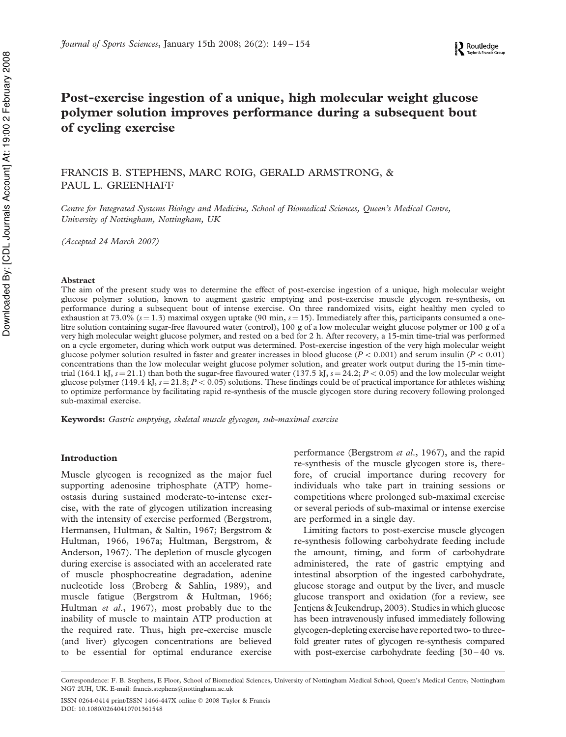# Post-exercise ingestion of a unique, high molecular weight glucose polymer solution improves performance during a subsequent bout of cycling exercise

# FRANCIS B. STEPHENS, MARC ROIG, GERALD ARMSTRONG, & PAUL L. GREENHAFF

*Centre for Integrated Systems Biology and Medicine, School of Biomedical Sciences, Queen's Medical Centre, University of Nottingham, Nottingham, UK*

*(Accepted 24 March 2007)*

#### Abstract

The aim of the present study was to determine the effect of post-exercise ingestion of a unique, high molecular weight glucose polymer solution, known to augment gastric emptying and post-exercise muscle glycogen re-synthesis, on performance during a subsequent bout of intense exercise. On three randomized visits, eight healthy men cycled to exhaustion at 73.0%  $(s = 1.3)$  maximal oxygen uptake (90 min,  $s = 15$ ). Immediately after this, participants consumed a onelitre solution containing sugar-free flavoured water (control), 100 g of a low molecular weight glucose polymer or 100 g of a very high molecular weight glucose polymer, and rested on a bed for 2 h. After recovery, a 15-min time-trial was performed on a cycle ergometer, during which work output was determined. Post-exercise ingestion of the very high molecular weight glucose polymer solution resulted in faster and greater increases in blood glucose  $(P < 0.001)$  and serum insulin  $(P < 0.01)$ concentrations than the low molecular weight glucose polymer solution, and greater work output during the 15-min timetrial (164.1 kJ,  $s = 21.1$ ) than both the sugar-free flavoured water (137.5 kJ,  $s = 24.2$ ;  $P < 0.05$ ) and the low molecular weight glucose polymer (149.4 kJ,  $s = 21.8; P < 0.05$ ) solutions. These findings could be of practical importance for athletes wishing to optimize performance by facilitating rapid re-synthesis of the muscle glycogen store during recovery following prolonged sub-maximal exercise.

Keywords: *Gastric emptying, skeletal muscle glycogen, sub-maximal exercise*

#### Introduction

Muscle glycogen is recognized as the major fuel supporting adenosine triphosphate (ATP) homeostasis during sustained moderate-to-intense exercise, with the rate of glycogen utilization increasing with the intensity of exercise performed (Bergstrom, Hermansen, Hultman, & Saltin, 1967; Bergstrom & Hultman, 1966, 1967a; Hultman, Bergstrom, & Anderson, 1967). The depletion of muscle glycogen during exercise is associated with an accelerated rate of muscle phosphocreatine degradation, adenine nucleotide loss (Broberg & Sahlin, 1989), and muscle fatigue (Bergstrom & Hultman, 1966; Hultman *et al*., 1967), most probably due to the inability of muscle to maintain ATP production at the required rate. Thus, high pre-exercise muscle (and liver) glycogen concentrations are believed to be essential for optimal endurance exercise

performance (Bergstrom *et al*., 1967), and the rapid re-synthesis of the muscle glycogen store is, therefore, of crucial importance during recovery for individuals who take part in training sessions or competitions where prolonged sub-maximal exercise or several periods of sub-maximal or intense exercise are performed in a single day.

Limiting factors to post-exercise muscle glycogen re-synthesis following carbohydrate feeding include the amount, timing, and form of carbohydrate administered, the rate of gastric emptying and intestinal absorption of the ingested carbohydrate, glucose storage and output by the liver, and muscle glucose transport and oxidation (for a review, see Jentjens & Jeukendrup, 2003). Studies in which glucose has been intravenously infused immediately following glycogen-depleting exercise have reported two- to threefold greater rates of glycogen re-synthesis compared with post-exercise carbohydrate feeding  $[30 - 40$  vs.

Correspondence: F. B. Stephens, E Floor, School of Biomedical Sciences, University of Nottingham Medical School, Queen's Medical Centre, Nottingham NG7 2UH, UK. E-mail: francis.stephens@nottingham.ac.uk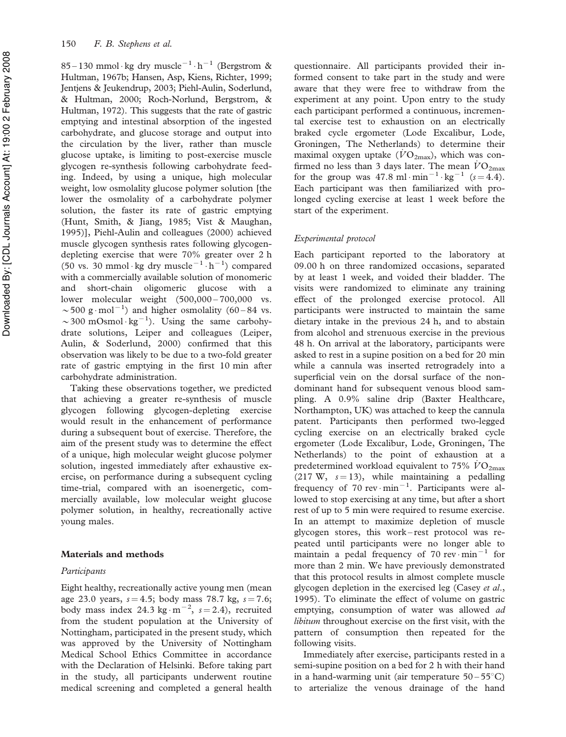85 – 130 mmol·kg dry muscle<sup>-1</sup>·h<sup>-1</sup> (Bergstrom & Hultman, 1967b; Hansen, Asp, Kiens, Richter, 1999; Jentjens & Jeukendrup, 2003; Piehl-Aulin, Soderlund, & Hultman, 2000; Roch-Norlund, Bergstrom, & Hultman, 1972). This suggests that the rate of gastric emptying and intestinal absorption of the ingested carbohydrate, and glucose storage and output into the circulation by the liver, rather than muscle glucose uptake, is limiting to post-exercise muscle glycogen re-synthesis following carbohydrate feeding. Indeed, by using a unique, high molecular weight, low osmolality glucose polymer solution [the lower the osmolality of a carbohydrate polymer solution, the faster its rate of gastric emptying (Hunt, Smith, & Jiang, 1985; Vist & Maughan, 1995)], Piehl-Aulin and colleagues (2000) achieved muscle glycogen synthesis rates following glycogendepleting exercise that were 70% greater over 2 h (50 vs. 30 mmol·kg dry muscle<sup>-1</sup>·h<sup>-1</sup>) compared with a commercially available solution of monomeric and short-chain oligomeric glucose with a lower molecular weight (500,000-700,000 vs.  $\sim$  500 g·mol<sup>-1</sup>) and higher osmolality (60-84 vs. ~300 mOsmol· $kg^{-1}$ ). Using the same carbohydrate solutions, Leiper and colleagues (Leiper, Aulin, & Soderlund, 2000) confirmed that this observation was likely to be due to a two-fold greater rate of gastric emptying in the first 10 min after carbohydrate administration.

Taking these observations together, we predicted that achieving a greater re-synthesis of muscle glycogen following glycogen-depleting exercise would result in the enhancement of performance during a subsequent bout of exercise. Therefore, the aim of the present study was to determine the effect of a unique, high molecular weight glucose polymer solution, ingested immediately after exhaustive exercise, on performance during a subsequent cycling time-trial, compared with an isoenergetic, commercially available, low molecular weight glucose polymer solution, in healthy, recreationally active young males.

# Materials and methods

#### *Participants*

Eight healthy, recreationally active young men (mean age 23.0 years,  $s = 4.5$ ; body mass 78.7 kg,  $s = 7.6$ ; body mass index 24.3 kg $\cdot$ m<sup>-2</sup>, s=2.4), recruited from the student population at the University of Nottingham, participated in the present study, which was approved by the University of Nottingham Medical School Ethics Committee in accordance with the Declaration of Helsinki. Before taking part in the study, all participants underwent routine medical screening and completed a general health

questionnaire. All participants provided their informed consent to take part in the study and were aware that they were free to withdraw from the experiment at any point. Upon entry to the study each participant performed a continuous, incremental exercise test to exhaustion on an electrically braked cycle ergometer (Lode Excalibur, Lode, Groningen, The Netherlands) to determine their maximal oxygen uptake  $(\dot{V}O_{2\text{max}})$ , which was confirmed no less than 3 days later. The mean  $\dot{V}O_{2\text{max}}$ for the group was  $47.8 \text{ ml} \cdot \text{min}^{-1} \cdot \text{kg}^{-1}$  ( $s = 4.4$ ). Each participant was then familiarized with prolonged cycling exercise at least 1 week before the start of the experiment.

# *Experimental protocol*

Each participant reported to the laboratory at 09.00 h on three randomized occasions, separated by at least 1 week, and voided their bladder. The visits were randomized to eliminate any training effect of the prolonged exercise protocol. All participants were instructed to maintain the same dietary intake in the previous 24 h, and to abstain from alcohol and strenuous exercise in the previous 48 h. On arrival at the laboratory, participants were asked to rest in a supine position on a bed for 20 min while a cannula was inserted retrogradely into a superficial vein on the dorsal surface of the nondominant hand for subsequent venous blood sampling. A 0.9% saline drip (Baxter Healthcare, Northampton, UK) was attached to keep the cannula patent. Participants then performed two-legged cycling exercise on an electrically braked cycle ergometer (Lode Excalibur, Lode, Groningen, The Netherlands) to the point of exhaustion at a predetermined workload equivalent to  $75\%$   $\dot{V}O_{2\text{max}}$  $(217 \text{ W}, \text{ s}=13)$ , while maintaining a pedalling frequency of  $70 \text{ rev} \cdot \text{min}^{-1}$ . Participants were allowed to stop exercising at any time, but after a short rest of up to 5 min were required to resume exercise. In an attempt to maximize depletion of muscle glycogen stores, this work – rest protocol was repeated until participants were no longer able to maintain a pedal frequency of 70  $rev \cdot min^{-1}$  for more than 2 min. We have previously demonstrated that this protocol results in almost complete muscle glycogen depletion in the exercised leg (Casey *et al*., 1995). To eliminate the effect of volume on gastric emptying, consumption of water was allowed *ad libitum* throughout exercise on the first visit, with the pattern of consumption then repeated for the following visits.

Immediately after exercise, participants rested in a semi-supine position on a bed for 2 h with their hand in a hand-warming unit (air temperature  $50-55^{\circ}$ C) to arterialize the venous drainage of the hand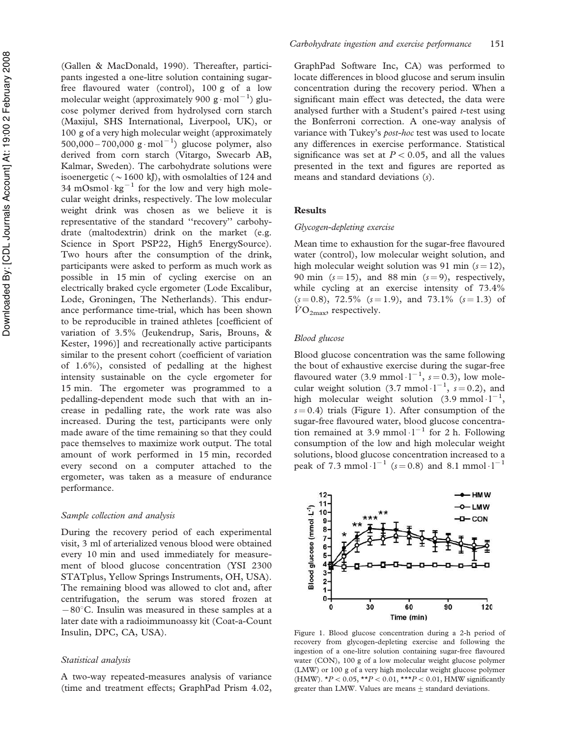(Gallen & MacDonald, 1990). Thereafter, participants ingested a one-litre solution containing sugarfree flavoured water (control), 100 g of a low molecular weight (approximately 900  $g \cdot mol^{-1}$ ) glucose polymer derived from hydrolysed corn starch (Maxijul, SHS International, Liverpool, UK), or 100 g of a very high molecular weight (approximately 500,000 – 700,000  $g \cdot mol^{-1}$ ) glucose polymer, also derived from corn starch (Vitargo, Swecarb AB, Kalmar, Sweden). The carbohydrate solutions were isoenergetic ( $\sim$  1600 kJ), with osmolalties of 124 and 34 mOsmol $\cdot$ kg<sup>-1</sup> for the low and very high molecular weight drinks, respectively. The low molecular weight drink was chosen as we believe it is representative of the standard ''recovery'' carbohydrate (maltodextrin) drink on the market (e.g. Science in Sport PSP22, High5 EnergySource). Two hours after the consumption of the drink, participants were asked to perform as much work as possible in 15 min of cycling exercise on an electrically braked cycle ergometer (Lode Excalibur, Lode, Groningen, The Netherlands). This endurance performance time-trial, which has been shown to be reproducible in trained athletes [coefficient of variation of 3.5% (Jeukendrup, Saris, Brouns, & Kester, 1996)] and recreationally active participants similar to the present cohort (coefficient of variation of 1.6%), consisted of pedalling at the highest intensity sustainable on the cycle ergometer for 15 min. The ergometer was programmed to a pedalling-dependent mode such that with an increase in pedalling rate, the work rate was also increased. During the test, participants were only made aware of the time remaining so that they could pace themselves to maximize work output. The total amount of work performed in 15 min, recorded every second on a computer attached to the ergometer, was taken as a measure of endurance performance.

#### *Sample collection and analysis*

During the recovery period of each experimental visit, 3 ml of arterialized venous blood were obtained every 10 min and used immediately for measurement of blood glucose concentration (YSI 2300 STATplus, Yellow Springs Instruments, OH, USA). The remaining blood was allowed to clot and, after centrifugation, the serum was stored frozen at  $-80^{\circ}$ C. Insulin was measured in these samples at a later date with a radioimmunoassy kit (Coat-a-Count Insulin, DPC, CA, USA).

#### *Statistical analysis*

A two-way repeated-measures analysis of variance (time and treatment effects; GraphPad Prism 4.02,

GraphPad Software Inc, CA) was performed to locate differences in blood glucose and serum insulin concentration during the recovery period. When a significant main effect was detected, the data were analysed further with a Student's paired *t*-test using the Bonferroni correction. A one-way analysis of variance with Tukey's *post-hoc* test was used to locate any differences in exercise performance. Statistical significance was set at  $P < 0.05$ , and all the values presented in the text and figures are reported as means and standard deviations ( *s*).

#### Results

#### *Glycogen-depleting exercise*

Mean time to exhaustion for the sugar-free flavoured water (control), low molecular weight solution, and high molecular weight solution was  $91$  min ( $s = 12$ ), 90 min  $(s=15)$ , and 88 min  $(s=9)$ , respectively, while cycling at an exercise intensity of 73.4%  $(s=0.8)$ , 72.5%  $(s=1.9)$ , and 73.1%  $(s=1.3)$  of  $VO<sub>2max</sub>$ , respectively.

### *Blood glucose*

 $11-$ 

 $10-$ 

9.  $\bf{8}$ 

Blood glucose concentration was the same following the bout of exhaustive exercise during the sugar-free flavoured water (3.9 mmol $\cdot 1^{-1}$ ,  $s = 0.3$ ), low molecular weight solution (3.7 mmol  $1^{-1}$ ,  $s = 0.2$ ), and high molecular weight solution  $(3.9 \text{ mmol} \cdot 1^{-1})$ ,  $s = 0.4$ ) trials (Figure 1). After consumption of the sugar-free flavoured water, blood glucose concentration remained at 3.9 mmol $\cdot$ 1<sup>-1</sup> for 2 h. Following consumption of the low and high molecular weight solutions, blood glucose concentration increased to a peak of 7.3 mmol $\cdot$ 1<sup>-1</sup> ( $s$  = 0.8) and 8.1 mmol $\cdot$ 1<sup>-1</sup>

 $-$  HMW

 $-O - LMW$ 

 $-$  CON



 $+ + +$ 

recovery from glycogen-depleting exercise and following the ingestion of a one-litre solution containing sugar-free flavoured water (CON), 100 g of a low molecular weight glucose polymer (LMW) or 100 g of a very high molecular weight glucose polymer (HMW).  $*P < 0.05$ ,  $*{} *P < 0.01$ ,  $*{} * {} *P < 0.01$ , HMW significantly greater than LMW. Values are means  $\pm$  standard deviations.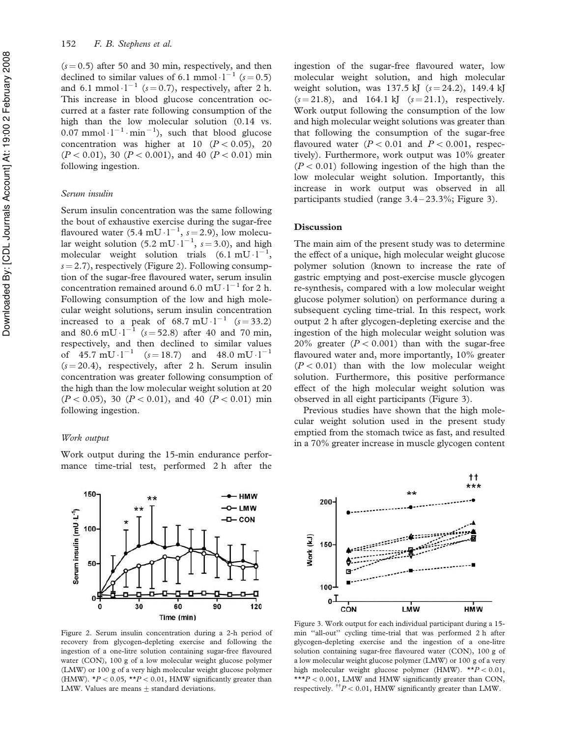$(s = 0.5)$  after 50 and 30 min, respectively, and then declined to similar values of 6.1 mmol  $\cdot$ 1<sup>-1</sup> ( $s$  = 0.5) and 6.1 mmol $\cdot$ 1<sup>-1</sup> ( $s$  = 0.7), respectively, after 2 h. This increase in blood glucose concentration occurred at a faster rate following consumption of the high than the low molecular solution (0.14 vs.  $0.07$  mmol $\cdot 1^{-1} \cdot \text{min}^{-1}$ ), such that blood glucose concentration was higher at 10  $(P < 0.05)$ , 20  $(P < 0.01)$ , 30 ( $P < 0.001$ ), and 40 ( $P < 0.01$ ) min following ingestion.

# *Serum insulin*

Serum insulin concentration was the same following the bout of exhaustive exercise during the sugar-free flavoured water  $(5.4 \text{ mU} \cdot l^{-1}, s=2.9)$ , low molecular weight solution  $(5.2 \text{ mU} \cdot l^{-1}, s=3.0)$ , and high molecular weight solution trials  $(6.1 \text{ mU} \cdot l^{-1})$  $s = 2.7$ ), respectively (Figure 2). Following consumption of the sugar-free flavoured water, serum insulin concentration remained around  $6.0 \text{ mU} \cdot l^{-1}$  for 2 h. Following consumption of the low and high molecular weight solutions, serum insulin concentration increased to a peak of  $68.7 \text{ mU} \cdot l^{-1}$   $(s=33.2)$ and 80.6 mU $\cdot$ 1<sup>-1</sup> ( $s = 52.8$ ) after 40 and 70 min, respectively, and then declined to similar values of 45.7 mU $\cdot$ 1<sup>-1</sup> ( $s = 18.7$ ) and 48.0 mU $\cdot$ 1<sup>-1</sup>  $(s = 20.4)$ , respectively, after 2 h. Serum insulin concentration was greater following consumption of the high than the low molecular weight solution at 20  $(P < 0.05)$ , 30 ( $P < 0.01$ ), and 40 ( $P < 0.01$ ) min following ingestion.

# *Work output*

 $150 -$ 

 $100 -$ 

50-

 $\mathbf{0}$ 

Serum insulin (mU·L<sup>-1</sup>)

Work output during the 15-min endurance performance time-trial test, performed 2 h after the

**HMW** 

- LMW

 $-con$ 

120

Figure 2. Serum insulin concentration during a 2-h period of recovery from glycogen-depleting exercise and following the ingestion of a one-litre solution containing sugar-free flavoured water (CON), 100 g of a low molecular weight glucose polymer (LMW) or 100 g of a very high molecular weight glucose polymer (HMW).  $*P < 0.05$ ,  $*P < 0.01$ , HMW significantly greater than LMW. Values are means  $\pm$  standard deviations.

60

Time (min)

90

30

ingestion of the sugar-free flavoured water, low molecular weight solution, and high molecular weight solution, was  $137.5$  kJ  $(s = 24.2)$ , 149.4 kJ  $(s=21.8)$ , and 164.1 kJ  $(s=21.1)$ , respectively. Work output following the consumption of the low and high molecular weight solutions was greater than that following the consumption of the sugar-free flavoured water  $(P < 0.01$  and  $P < 0.001$ , respectively). Furthermore, work output was 10% greater  $(P < 0.01)$  following ingestion of the high than the low molecular weight solution. Importantly, this increase in work output was observed in all participants studied (range 3.4 – 23.3%; Figure 3).

#### **Discussion**

The main aim of the present study was to determine the effect of a unique, high molecular weight glucose polymer solution (known to increase the rate of gastric emptying and post-exercise muscle glycogen re-synthesis, compared with a low molecular weight glucose polymer solution) on performance during a subsequent cycling time-trial. In this respect, work output 2 h after glycogen-depleting exercise and the ingestion of the high molecular weight solution was 20% greater  $(P < 0.001)$  than with the sugar-free flavoured water and, more importantly, 10% greater  $(P < 0.01)$  than with the low molecular weight solution. Furthermore, this positive performance effect of the high molecular weight solution was observed in all eight participants (Figure 3).

Previous studies have shown that the high molecular weight solution used in the present study emptied from the stomach twice as fast, and resulted in a 70% greater increase in muscle glycogen content

Figure 3. Work output for each individual participant during a 15 min ''all-out'' cycling time-trial that was performed 2 h after glycogen-depleting exercise and the ingestion of a one-litre solution containing sugar-free flavoured water (CON), 100 g of a low molecular weight glucose polymer (LMW) or 100 g of a very high molecular weight glucose polymer (HMW). \*\* $P < 0.01$ , \*\* $P$  < 0.001, LMW and HMW significantly greater than CON, respectively. <sup>††</sup> $P$  < 0.01, HMW significantly greater than LMW.

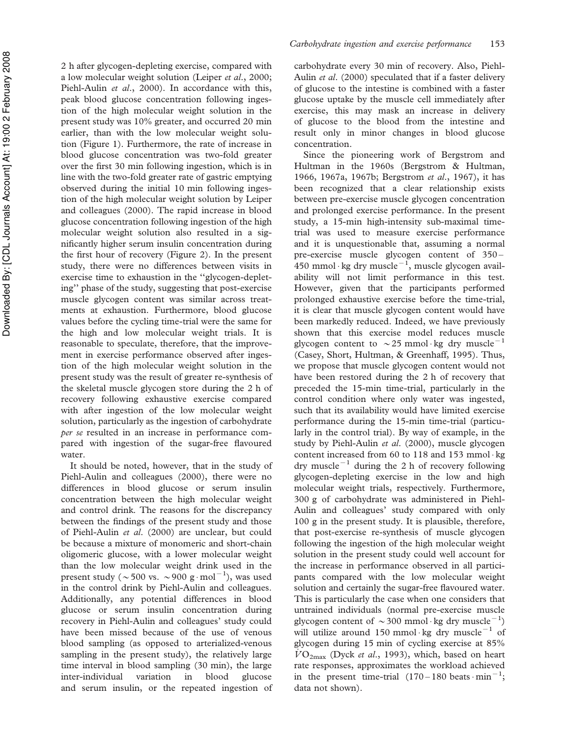2 h after glycogen-depleting exercise, compared with a low molecular weight solution (Leiper *et al*., 2000; Piehl-Aulin *et al*., 2000). In accordance with this, peak blood glucose concentration following ingestion of the high molecular weight solution in the present study was 10% greater, and occurred 20 min earlier, than with the low molecular weight solution (Figure 1). Furthermore, the rate of increase in blood glucose concentration was two-fold greater over the first 30 min following ingestion, which is in line with the two-fold greater rate of gastric emptying observed during the initial 10 min following ingestion of the high molecular weight solution by Leiper and colleagues (2000). The rapid increase in blood glucose concentration following ingestion of the high molecular weight solution also resulted in a significantly higher serum insulin concentration during the first hour of recovery (Figure 2). In the present study, there were no differences between visits in exercise time to exhaustion in the ''glycogen-depleting'' phase of the study, suggesting that post-exercise muscle glycogen content was similar across treatments at exhaustion. Furthermore, blood glucose values before the cycling time-trial were the same for the high and low molecular weight trials. It is reasonable to speculate, therefore, that the improvement in exercise performance observed after ingestion of the high molecular weight solution in the present study was the result of greater re-synthesis of the skeletal muscle glycogen store during the 2 h of recovery following exhaustive exercise compared with after ingestion of the low molecular weight solution, particularly as the ingestion of carbohydrate *per se* resulted in an increase in performance compared with ingestion of the sugar-free flavoured water.

It should be noted, however, that in the study of Piehl-Aulin and colleagues (2000), there were no differences in blood glucose or serum insulin concentration between the high molecular weight and control drink. The reasons for the discrepancy between the findings of the present study and those of Piehl-Aulin *et al*. (2000) are unclear, but could be because a mixture of monomeric and short-chain oligomeric glucose, with a lower molecular weight than the low molecular weight drink used in the present study ( $\sim$  500 vs.  $\sim$  900 g·mol<sup>-1</sup>), was used in the control drink by Piehl-Aulin and colleagues. Additionally, any potential differences in blood glucose or serum insulin concentration during recovery in Piehl-Aulin and colleagues' study could have been missed because of the use of venous blood sampling (as opposed to arterialized-venous sampling in the present study), the relatively large time interval in blood sampling (30 min), the large inter-individual variation in blood glucose and serum insulin, or the repeated ingestion of

carbohydrate every 30 min of recovery. Also, Piehl-Aulin *et al*. (2000) speculated that if a faster delivery of glucose to the intestine is combined with a faster glucose uptake by the muscle cell immediately after exercise, this may mask an increase in delivery of glucose to the blood from the intestine and result only in minor changes in blood glucose concentration.

Since the pioneering work of Bergstrom and Hultman in the 1960s (Bergstrom & Hultman, 1966, 1967a, 1967b; Bergstrom *et al*., 1967), it has been recognized that a clear relationship exists between pre-exercise muscle glycogen concentration and prolonged exercise performance. In the present study, a 15-min high-intensity sub-maximal timetrial was used to measure exercise performance and it is unquestionable that, assuming a normal pre-exercise muscle glycogen content of 350 – 450 mmol·kg dry muscle $^{-1}$ , muscle glycogen availability will not limit performance in this test. However, given that the participants performed prolonged exhaustive exercise before the time-trial, it is clear that muscle glycogen content would have been markedly reduced. Indeed, we have previously shown that this exercise model reduces muscle glycogen content to  $\sim$  25 mmol·kg dry muscle<sup>-1</sup> (Casey, Short, Hultman, & Greenhaff, 1995). Thus, we propose that muscle glycogen content would not have been restored during the 2 h of recovery that preceded the 15-min time-trial, particularly in the control condition where only water was ingested, such that its availability would have limited exercise performance during the 15-min time-trial (particularly in the control trial). By way of example, in the study by Piehl-Aulin *et al*. (2000), muscle glycogen content increased from 60 to 118 and 153 mmol·kg dry muscle<sup> $-1$ </sup> during the 2 h of recovery following glycogen-depleting exercise in the low and high molecular weight trials, respectively. Furthermore, 300 g of carbohydrate was administered in Piehl-Aulin and colleagues' study compared with only 100 g in the present study. It is plausible, therefore, that post-exercise re-synthesis of muscle glycogen following the ingestion of the high molecular weight solution in the present study could well account for the increase in performance observed in all participants compared with the low molecular weight solution and certainly the sugar-free flavoured water. This is particularly the case when one considers that untrained individuals (normal pre-exercise muscle glycogen content of  $\sim$  300 mmol·kg dry muscle<sup>-1</sup>) will utilize around 150 mmol kg dry muscle<sup> $-1$ </sup> of glycogen during 15 min of cycling exercise at 85%  $VO_{2\text{max}}$  (Dyck *et al.*, 1993), which, based on heart rate responses, approximates the workload achieved in the present time-trial  $(170-180 \text{ beats} \cdot \text{min}^{-1})$ ; data not shown).